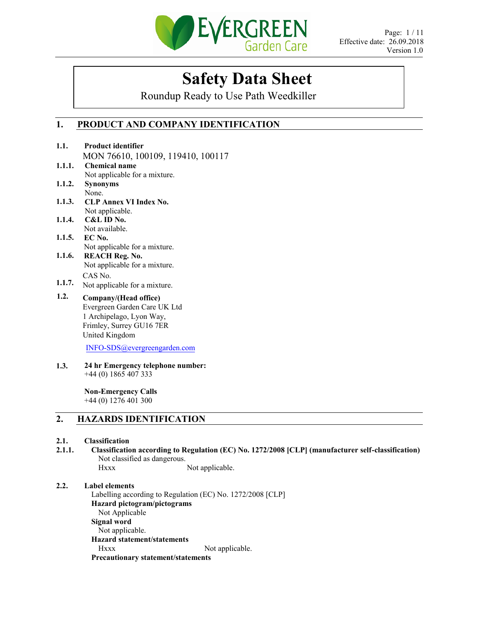

# **Safety Data Sheet**

Roundup Ready to Use Path Weedkiller

# **1. PRODUCT AND COMPANY IDENTIFICATION**

|        | MON 76610, 100109, 119410, 100117                                                                  |
|--------|----------------------------------------------------------------------------------------------------|
| 1.1.1. | <b>Chemical name</b>                                                                               |
|        | Not applicable for a mixture.                                                                      |
| 1.1.2. | <b>Synonyms</b>                                                                                    |
|        | None.                                                                                              |
| 1.1.3. | <b>CLP Annex VI Index No.</b>                                                                      |
|        | Not applicable.                                                                                    |
| 1.1.4. | C&L ID No.                                                                                         |
|        | Not available.                                                                                     |
| 1.1.5. | EC No.                                                                                             |
|        | Not applicable for a mixture.                                                                      |
| 1.1.6. | <b>REACH Reg. No.</b>                                                                              |
|        | Not applicable for a mixture.                                                                      |
|        | CAS No.                                                                                            |
| 1.1.7. | Not applicable for a mixture.                                                                      |
| 1.2.   | Company/(Head office)                                                                              |
|        | Evergreen Garden Care UK Ltd                                                                       |
|        | 1 Archipelago, Lyon Way,                                                                           |
|        | Frimley, Surrey GU16 7ER                                                                           |
|        | United Kingdom                                                                                     |
|        |                                                                                                    |
|        | INFO-SDS@evergreengarden.com                                                                       |
| 1.3.   | 24 hr Emergency telephone number:                                                                  |
|        | +44 (0) 1865 407 333                                                                               |
|        | <b>Non-Emergency Calls</b>                                                                         |
|        | $+44(0)$ 1276 401 300                                                                              |
| 2.     | <b>HAZARDS IDENTIFICATION</b>                                                                      |
|        |                                                                                                    |
| 2.1.   | Classification                                                                                     |
| 2.1.1. | Classification according to Regulation (EC) No. 1272/2008 [CLP] (manufacturer self-classification) |
|        |                                                                                                    |

Not classified as dangerous. Hxxx Not applicable.

# **2.2. Label elements**

**1.1.**

**Product identifier** 

Labelling according to Regulation (EC) No. 1272/2008 [CLP] **Hazard pictogram/pictograms**  Not Applicable **Signal word**  Not applicable. **Hazard statement/statements**  Hxxx Not applicable. **Precautionary statement/statements**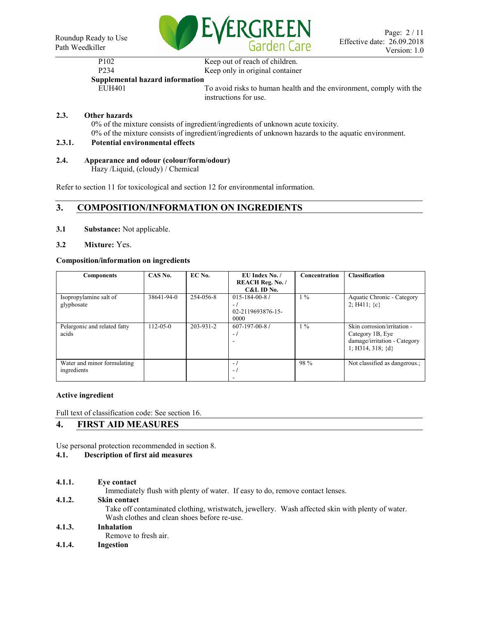

# P<sub>102</sub> Keep out of reach of children.

# P234 Keep only in original container

**Supplemental hazard information** 

EUH401 To avoid risks to human health and the environment, comply with the instructions for use.

# **2.3. Other hazards**

0% of the mixture consists of ingredient/ingredients of unknown acute toxicity. 0% of the mixture consists of ingredient/ingredients of unknown hazards to the aquatic environment.

# **2.3.1. Potential environmental effects**

# **2.4. Appearance and odour (colour/form/odour)**

Hazy /Liquid, (cloudy) / Chemical

Refer to section 11 for toxicological and section 12 for environmental information.

# **3. COMPOSITION/INFORMATION ON INGREDIENTS**

- **3.1 Substance:** Not applicable.
- **3.2 Mixture:** Yes.

# **Composition/information on ingredients**

| <b>Components</b>                          | CAS No.        | EC No.    | EU Index No. /<br><b>REACH Reg. No. /</b><br>C&L ID No.    | <b>Concentration</b> | <b>Classification</b>                                                                                    |
|--------------------------------------------|----------------|-----------|------------------------------------------------------------|----------------------|----------------------------------------------------------------------------------------------------------|
| Isopropylamine salt of<br>glyphosate       | 38641-94-0     | 254-056-8 | $015 - 184 - 00 - 87$<br>$-1$<br>02-2119693876-15-<br>0000 | $1\%$                | Aquatic Chronic - Category<br>2; H411; $\{c\}$                                                           |
| Pelargonic and related fatty<br>acids      | $112 - 05 - 0$ | 203-931-2 | $607 - 197 - 00 - 8$ /<br>$-1$                             | $1\%$                | Skin corrosion/irritation -<br>Category 1B, Eye<br>damage/irritation - Category<br>1; H314, 318; $\{d\}$ |
| Water and minor formulating<br>ingredients |                |           | $\blacksquare$<br>$-1$                                     | 98 %                 | Not classified as dangerous.;                                                                            |

# **Active ingredient**

Full text of classification code: See section 16.

# **4. FIRST AID MEASURES**

Use personal protection recommended in section 8.

# **4.1. Description of first aid measures**

**4.1.1. Eye contact**

Immediately flush with plenty of water. If easy to do, remove contact lenses.

# **4.1.2. Skin contact**

Take off contaminated clothing, wristwatch, jewellery. Wash affected skin with plenty of water. Wash clothes and clean shoes before re-use.

# **4.1.3. Inhalation**

Remove to fresh air.

**4.1.4. Ingestion**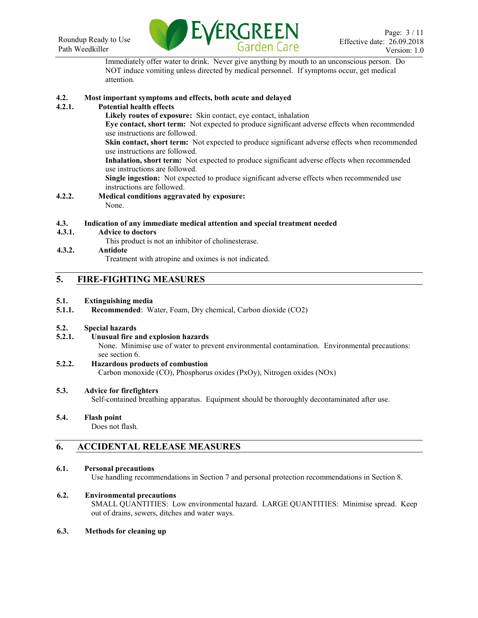

Immediately offer water to drink. Never give anything by mouth to an unconscious person. Do NOT induce vomiting unless directed by medical personnel. If symptoms occur, get medical attention.

# **4.2. Most important symptoms and effects, both acute and delayed**

# **4.2.1. Potential health effects**

**Likely routes of exposure:** Skin contact, eye contact, inhalation

**Eye contact, short term:** Not expected to produce significant adverse effects when recommended use instructions are followed.

**Skin contact, short term:** Not expected to produce significant adverse effects when recommended use instructions are followed.

**Inhalation, short term:** Not expected to produce significant adverse effects when recommended use instructions are followed.

**Single ingestion:** Not expected to produce significant adverse effects when recommended use instructions are followed.

**4.2.2. Medical conditions aggravated by exposure:**  None.

#### **4.3. Indication of any immediate medical attention and special treatment needed**

- **4.3.1. Advice to doctors**
	- This product is not an inhibitor of cholinesterase.

# **4.3.2. Antidote**

Treatment with atropine and oximes is not indicated.

# **5. FIRE-FIGHTING MEASURES**

#### **5.1. Extinguishing media**

**5.1.1. Recommended**: Water, Foam, Dry chemical, Carbon dioxide (CO2)

#### **5.2. Special hazards**

**5.2.1. Unusual fire and explosion hazards**

None. Minimise use of water to prevent environmental contamination. Environmental precautions: see section 6.

#### **5.2.2. Hazardous products of combustion** Carbon monoxide (CO), Phosphorus oxides (PxOy), Nitrogen oxides (NOx)

# **5.3. Advice for firefighters**

Self-contained breathing apparatus. Equipment should be thoroughly decontaminated after use.

# **5.4. Flash point**

Does not flash.

# **6. ACCIDENTAL RELEASE MEASURES**

# **6.1. Personal precautions**

Use handling recommendations in Section 7 and personal protection recommendations in Section 8.

# **6.2. Environmental precautions**

SMALL QUANTITIES: Low environmental hazard. LARGE QUANTITIES: Minimise spread. Keep out of drains, sewers, ditches and water ways.

#### **6.3. Methods for cleaning up**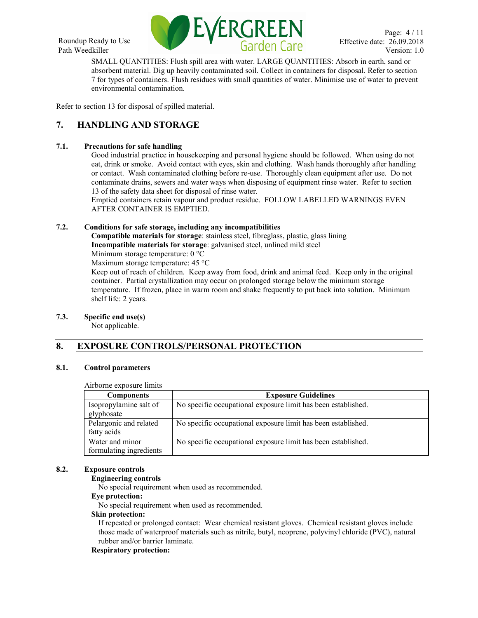

SMALL QUANTITIES: Flush spill area with water. LARGE QUANTITIES: Absorb in earth, sand or absorbent material. Dig up heavily contaminated soil. Collect in containers for disposal. Refer to section 7 for types of containers. Flush residues with small quantities of water. Minimise use of water to prevent environmental contamination.

Refer to section 13 for disposal of spilled material.

# **7. HANDLING AND STORAGE**

# **7.1. Precautions for safe handling**

Good industrial practice in housekeeping and personal hygiene should be followed. When using do not eat, drink or smoke. Avoid contact with eyes, skin and clothing. Wash hands thoroughly after handling or contact. Wash contaminated clothing before re-use. Thoroughly clean equipment after use. Do not contaminate drains, sewers and water ways when disposing of equipment rinse water. Refer to section 13 of the safety data sheet for disposal of rinse water.

Emptied containers retain vapour and product residue. FOLLOW LABELLED WARNINGS EVEN AFTER CONTAINER IS EMPTIED.

# **7.2. Conditions for safe storage, including any incompatibilities**

**Compatible materials for storage**: stainless steel, fibreglass, plastic, glass lining **Incompatible materials for storage**: galvanised steel, unlined mild steel

Minimum storage temperature: 0 °C

Maximum storage temperature: 45 °C

Keep out of reach of children. Keep away from food, drink and animal feed. Keep only in the original container. Partial crystallization may occur on prolonged storage below the minimum storage temperature. If frozen, place in warm room and shake frequently to put back into solution. Minimum shelf life: 2 years.

# **7.3. Specific end use(s)**

Not applicable.

# **8. EXPOSURE CONTROLS/PERSONAL PROTECTION**

# **8.1. Control parameters**

#### Airborne exposure limits

| <b>Components</b>                          | <b>Exposure Guidelines</b>                                    |
|--------------------------------------------|---------------------------------------------------------------|
| Isopropylamine salt of<br>glyphosate       | No specific occupational exposure limit has been established. |
| Pelargonic and related<br>fatty acids      | No specific occupational exposure limit has been established. |
| Water and minor<br>formulating ingredients | No specific occupational exposure limit has been established. |

# **8.2. Exposure controls**

# **Engineering controls**

No special requirement when used as recommended.

# **Eye protection:**

No special requirement when used as recommended.

#### **Skin protection:**

If repeated or prolonged contact: Wear chemical resistant gloves. Chemical resistant gloves include those made of waterproof materials such as nitrile, butyl, neoprene, polyvinyl chloride (PVC), natural rubber and/or barrier laminate.

# **Respiratory protection:**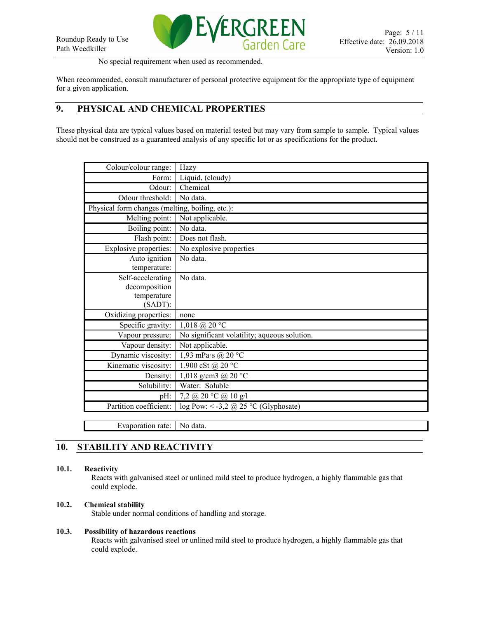

No special requirement when used as recommended.

When recommended, consult manufacturer of personal protective equipment for the appropriate type of equipment for a given application.

# **9. PHYSICAL AND CHEMICAL PROPERTIES**

These physical data are typical values based on material tested but may vary from sample to sample. Typical values should not be construed as a guaranteed analysis of any specific lot or as specifications for the product.

| Colour/colour range:                            | Hazy                                                          |
|-------------------------------------------------|---------------------------------------------------------------|
| Form:                                           | Liquid, (cloudy)                                              |
| Odour:                                          | Chemical                                                      |
| Odour threshold:                                | No data.                                                      |
| Physical form changes (melting, boiling, etc.): |                                                               |
| Melting point:                                  | Not applicable.                                               |
| Boiling point:                                  | No data.                                                      |
| Flash point:                                    | Does not flash.                                               |
| Explosive properties:                           | No explosive properties                                       |
| Auto ignition                                   | No data.                                                      |
| temperature:                                    |                                                               |
| Self-accelerating                               | No data.                                                      |
| decomposition                                   |                                                               |
| temperature                                     |                                                               |
| $(SADT)$ :                                      |                                                               |
| Oxidizing properties:                           | none                                                          |
| Specific gravity:                               | $1,018 \text{ (}20 \text{ °C}$                                |
| Vapour pressure:                                | No significant volatility; aqueous solution.                  |
| Vapour density:                                 | Not applicable.                                               |
| Dynamic viscosity:                              | 1,93 mPa·s @ 20 °C                                            |
| Kinematic viscosity:                            | 1.900 cSt @ 20 °C                                             |
| Density:                                        | 1,018 g/cm3 @ $20 °C$                                         |
| Solubility:                                     | Water: Soluble                                                |
| $pH$ :                                          | 7,2 @ 20 °C @ 10 g/l                                          |
| Partition coefficient:                          | $log Pow: < -3,2 \text{ (}25 \text{ °C} \text{ (Glyphosate)}$ |
|                                                 |                                                               |
| Evaporation rate:                               | No data.                                                      |

# **10. STABILITY AND REACTIVITY**

# **10.1. Reactivity**

Reacts with galvanised steel or unlined mild steel to produce hydrogen, a highly flammable gas that could explode.

# **10.2. Chemical stability**

Stable under normal conditions of handling and storage.

# **10.3. Possibility of hazardous reactions**

Reacts with galvanised steel or unlined mild steel to produce hydrogen, a highly flammable gas that could explode.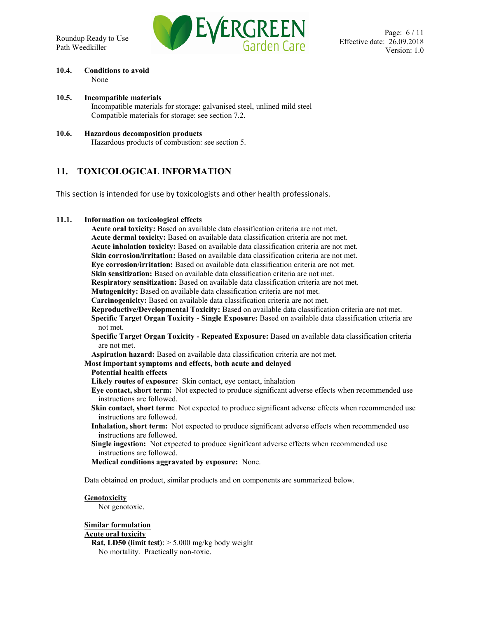

#### **10.4. Conditions to avoid** None

- **10.5. Incompatible materials** Incompatible materials for storage: galvanised steel, unlined mild steel Compatible materials for storage: see section 7.2.
- **10.6. Hazardous decomposition products** Hazardous products of combustion: see section 5.

# **11. TOXICOLOGICAL INFORMATION**

This section is intended for use by toxicologists and other health professionals.

# **11.1. Information on toxicological effects**

**Acute oral toxicity:** Based on available data classification criteria are not met. **Acute dermal toxicity:** Based on available data classification criteria are not met. **Acute inhalation toxicity:** Based on available data classification criteria are not met. **Skin corrosion/irritation:** Based on available data classification criteria are not met. **Eye corrosion/irritation:** Based on available data classification criteria are not met. **Skin sensitization:** Based on available data classification criteria are not met. **Respiratory sensitization:** Based on available data classification criteria are not met. **Mutagenicity:** Based on available data classification criteria are not met. **Carcinogenicity:** Based on available data classification criteria are not met. **Reproductive/Developmental Toxicity:** Based on available data classification criteria are not met. **Specific Target Organ Toxicity - Single Exposure:** Based on available data classification criteria are not met. **Specific Target Organ Toxicity - Repeated Exposure:** Based on available data classification criteria are not met. **Aspiration hazard:** Based on available data classification criteria are not met. **Most important symptoms and effects, both acute and delayed Potential health effects** 

**Likely routes of exposure:** Skin contact, eye contact, inhalation

**Eye contact, short term:** Not expected to produce significant adverse effects when recommended use instructions are followed.

- **Skin contact, short term:** Not expected to produce significant adverse effects when recommended use instructions are followed.
- **Inhalation, short term:** Not expected to produce significant adverse effects when recommended use instructions are followed.
- **Single ingestion:** Not expected to produce significant adverse effects when recommended use instructions are followed.
- **Medical conditions aggravated by exposure:** None.

Data obtained on product, similar products and on components are summarized below.

# **Genotoxicity**

Not genotoxic.

# **Similar formulation**

#### **Acute oral toxicity**

**Rat, LD50 (limit test)**: > 5.000 mg/kg body weight No mortality. Practically non-toxic.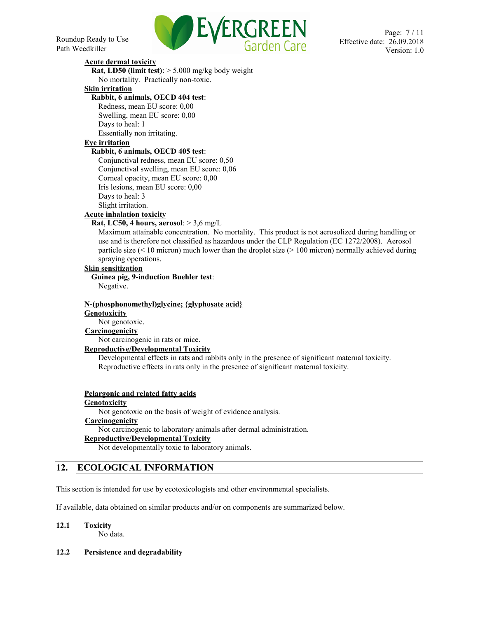

# **Acute dermal toxicity**

**Rat, LD50 (limit test)**: > 5.000 mg/kg body weight No mortality. Practically non-toxic.

# **Skin irritation**

**Rabbit, 6 animals, OECD 404 test**:

Redness, mean EU score: 0,00 Swelling, mean EU score: 0,00 Days to heal: 1 Essentially non irritating.

#### **Eye irritation**

#### **Rabbit, 6 animals, OECD 405 test**:

Conjunctival redness, mean EU score: 0,50 Conjunctival swelling, mean EU score: 0,06 Corneal opacity, mean EU score: 0,00 Iris lesions, mean EU score: 0,00 Days to heal: 3 Slight irritation. **Acute inhalation toxicity**

# **Rat, LC50, 4 hours, aerosol**: > 3,6 mg/L

Maximum attainable concentration. No mortality. This product is not aerosolized during handling or use and is therefore not classified as hazardous under the CLP Regulation (EC 1272/2008). Aerosol particle size (< 10 micron) much lower than the droplet size (> 100 micron) normally achieved during spraying operations.

# **Skin sensitization**

**Guinea pig, 9-induction Buehler test**: Negative.

# **N-(phosphonomethyl)glycine; {glyphosate acid} Genotoxicity**

Not genotoxic.

# **Carcinogenicity**

Not carcinogenic in rats or mice.

#### **Reproductive/Developmental Toxicity**

Developmental effects in rats and rabbits only in the presence of significant maternal toxicity. Reproductive effects in rats only in the presence of significant maternal toxicity.

#### **Pelargonic and related fatty acids**

#### **Genotoxicity**

Not genotoxic on the basis of weight of evidence analysis. **Carcinogenicity**

Not carcinogenic to laboratory animals after dermal administration.

# **Reproductive/Developmental Toxicity**

Not developmentally toxic to laboratory animals.

# **12. ECOLOGICAL INFORMATION**

This section is intended for use by ecotoxicologists and other environmental specialists.

If available, data obtained on similar products and/or on components are summarized below.

# **12.1 Toxicity**

No data.

# **12.2 Persistence and degradability**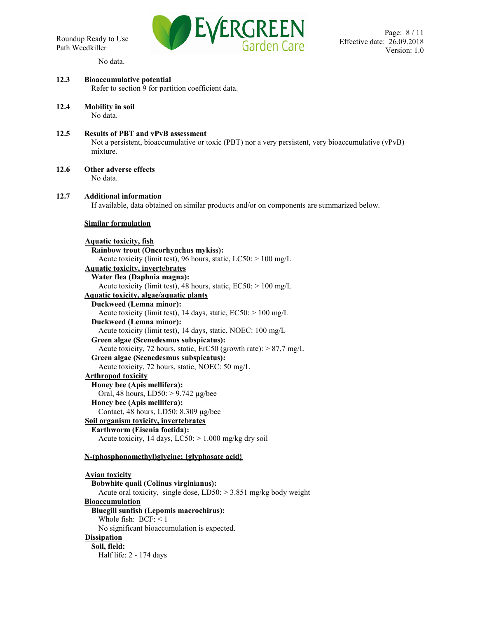No data.



# **12.3 Bioaccumulative potential** Refer to section 9 for partition coefficient data. **12.4 Mobility in soil**  No data. **12.5 Results of PBT and vPvB assessment**  Not a persistent, bioaccumulative or toxic (PBT) nor a very persistent, very bioaccumulative (vPvB) mixture. **12.6 Other adverse effects**  No data. **12.7 Additional information**  If available, data obtained on similar products and/or on components are summarized below. **Similar formulation Aquatic toxicity, fish Rainbow trout (Oncorhynchus mykiss):** Acute toxicity (limit test), 96 hours, static, LC50: > 100 mg/L **Aquatic toxicity, invertebrates Water flea (Daphnia magna):** Acute toxicity (limit test), 48 hours, static,  $EC50$ :  $> 100$  mg/L **Aquatic toxicity, algae/aquatic plants Duckweed (Lemna minor):** Acute toxicity (limit test), 14 days, static, EC50: > 100 mg/L **Duckweed (Lemna minor):** Acute toxicity (limit test), 14 days, static, NOEC: 100 mg/L **Green algae (Scenedesmus subspicatus):** Acute toxicity, 72 hours, static, ErC50 (growth rate):  $> 87.7$  mg/L **Green algae (Scenedesmus subspicatus):** Acute toxicity, 72 hours, static, NOEC: 50 mg/L **Arthropod toxicity Honey bee (Apis mellifera):** Oral, 48 hours, LD50: > 9.742 µg/bee **Honey bee (Apis mellifera):** Contact, 48 hours, LD50: 8.309 µg/bee **Soil organism toxicity, invertebrates Earthworm (Eisenia foetida):** Acute toxicity, 14 days,  $LC50$ :  $> 1.000$  mg/kg dry soil **N-(phosphonomethyl)glycine; {glyphosate acid} Avian toxicity Bobwhite quail (Colinus virginianus):** Acute oral toxicity, single dose, LD50: > 3.851 mg/kg body weight **Bioaccumulation Bluegill sunfish (Lepomis macrochirus):** Whole fish: BCF: < 1 No significant bioaccumulation is expected. **Dissipation Soil, field:** Half life: 2 - 174 days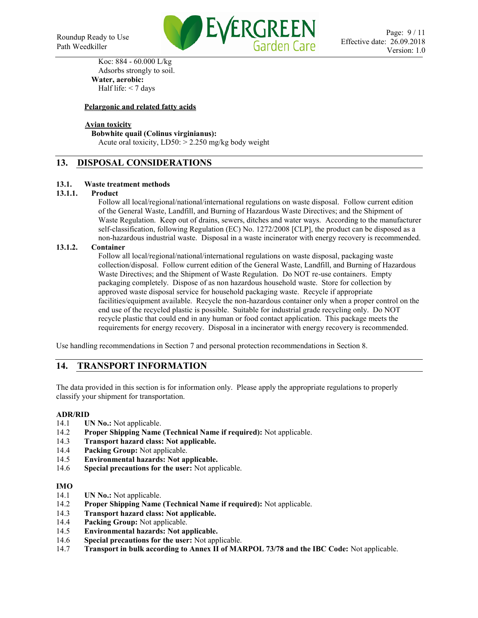

Koc: 884 - 60.000 L/kg Adsorbs strongly to soil. **Water, aerobic:** Half life:  $<$  7 days

# **Pelargonic and related fatty acids**

# **Avian toxicity**

#### **Bobwhite quail (Colinus virginianus):**

Acute oral toxicity,  $LD50: > 2.250$  mg/kg body weight

# **13. DISPOSAL CONSIDERATIONS**

# **13.1. Waste treatment methods**

#### **13.1.1. Product**

Follow all local/regional/national/international regulations on waste disposal. Follow current edition of the General Waste, Landfill, and Burning of Hazardous Waste Directives; and the Shipment of Waste Regulation. Keep out of drains, sewers, ditches and water ways. According to the manufacturer self-classification, following Regulation (EC) No. 1272/2008 [CLP], the product can be disposed as a non-hazardous industrial waste. Disposal in a waste incinerator with energy recovery is recommended.

#### **13.1.2. Container**

Follow all local/regional/national/international regulations on waste disposal, packaging waste collection/disposal. Follow current edition of the General Waste, Landfill, and Burning of Hazardous Waste Directives; and the Shipment of Waste Regulation. Do NOT re-use containers. Empty packaging completely. Dispose of as non hazardous household waste. Store for collection by approved waste disposal service for household packaging waste. Recycle if appropriate facilities/equipment available. Recycle the non-hazardous container only when a proper control on the end use of the recycled plastic is possible. Suitable for industrial grade recycling only. Do NOT recycle plastic that could end in any human or food contact application. This package meets the requirements for energy recovery. Disposal in a incinerator with energy recovery is recommended.

Use handling recommendations in Section 7 and personal protection recommendations in Section 8.

# **14. TRANSPORT INFORMATION**

The data provided in this section is for information only. Please apply the appropriate regulations to properly classify your shipment for transportation.

#### **ADR/RID**

- 14.1 **UN No.:** Not applicable.
- 14.2 **Proper Shipping Name (Technical Name if required):** Not applicable.
- 14.3 **Transport hazard class: Not applicable.**
- 14.4 **Packing Group:** Not applicable.
- 14.5 **Environmental hazards: Not applicable.**
- 14.6 **Special precautions for the user:** Not applicable.

#### **IMO**

- 14.1 **UN No.:** Not applicable.
- 14.2 **Proper Shipping Name (Technical Name if required):** Not applicable.
- 14.3 **Transport hazard class: Not applicable.**
- 14.4 **Packing Group:** Not applicable.
- 14.5 **Environmental hazards: Not applicable.**
- 14.6 **Special precautions for the user:** Not applicable.
- 14.7 **Transport in bulk according to Annex II of MARPOL 73/78 and the IBC Code:** Not applicable.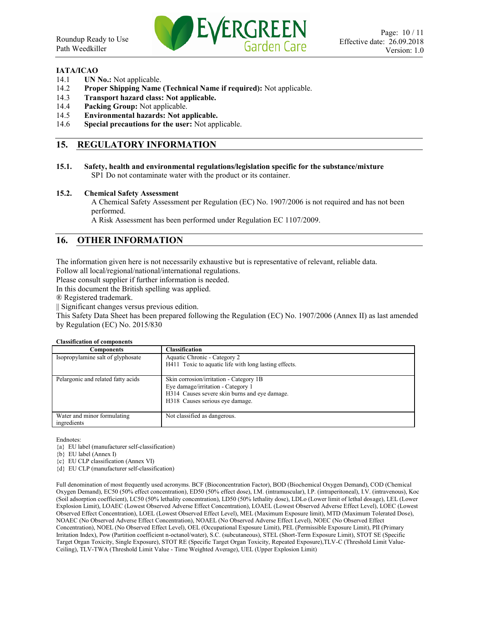

#### **IATA/ICAO**

- 14.1 **UN No.:** Not applicable.
- 14.2 **Proper Shipping Name (Technical Name if required):** Not applicable.
- 14.3 **Transport hazard class: Not applicable.**
- 14.4 **Packing Group:** Not applicable.
- 14.5 **Environmental hazards: Not applicable.**
- 14.6 **Special precautions for the user:** Not applicable.

# **15. REGULATORY INFORMATION**

**15.1. Safety, health and environmental regulations/legislation specific for the substance/mixture** SP1 Do not contaminate water with the product or its container.

#### **15.2. Chemical Safety Assessment**

A Chemical Safety Assessment per Regulation (EC) No. 1907/2006 is not required and has not been performed.

A Risk Assessment has been performed under Regulation EC 1107/2009.

# **16. OTHER INFORMATION**

The information given here is not necessarily exhaustive but is representative of relevant, reliable data.

Follow all local/regional/national/international regulations.

Please consult supplier if further information is needed.

In this document the British spelling was applied.

® Registered trademark.

|| Significant changes versus previous edition.

This Safety Data Sheet has been prepared following the Regulation (EC) No. 1907/2006 (Annex II) as last amended by Regulation (EC) No. 2015/830

#### **Classification of components**

| Classification                                        |
|-------------------------------------------------------|
| Aquatic Chronic - Category 2                          |
| H411 Toxic to aquatic life with long lasting effects. |
|                                                       |
| Skin corrosion/irritation - Category 1B               |
| Eye damage/irritation - Category 1                    |
| H314 Causes severe skin burns and eve damage.         |
| H318 Causes serious eye damage.                       |
|                                                       |
| Not classified as dangerous.                          |
|                                                       |
|                                                       |

Endnotes:

{a} EU label (manufacturer self-classification)

{b} EU label (Annex I)

{c} EU CLP classification (Annex VI)

{d} EU CLP (manufacturer self-classification)

Full denomination of most frequently used acronyms. BCF (Bioconcentration Factor), BOD (Biochemical Oxygen Demand), COD (Chemical Oxygen Demand), EC50 (50% effect concentration), ED50 (50% effect dose), I.M. (intramuscular), I.P. (intraperitoneal), I.V. (intravenous), Koc (Soil adsorption coefficient), LC50 (50% lethality concentration), LD50 (50% lethality dose), LDLo (Lower limit of lethal dosage), LEL (Lower Explosion Limit), LOAEC (Lowest Observed Adverse Effect Concentration), LOAEL (Lowest Observed Adverse Effect Level), LOEC (Lowest Observed Effect Concentration), LOEL (Lowest Observed Effect Level), MEL (Maximum Exposure limit), MTD (Maximum Tolerated Dose), NOAEC (No Observed Adverse Effect Concentration), NOAEL (No Observed Adverse Effect Level), NOEC (No Observed Effect Concentration), NOEL (No Observed Effect Level), OEL (Occupational Exposure Limit), PEL (Permissible Exposure Limit), PII (Primary Irritation Index), Pow (Partition coefficient n-octanol/water), S.C. (subcutaneous), STEL (Short-Term Exposure Limit), STOT SE (Specific Target Organ Toxicity, Single Exposure), STOT RE (Specific Target Organ Toxicity, Repeated Exposure),TLV-C (Threshold Limit Value-Ceiling), TLV-TWA (Threshold Limit Value - Time Weighted Average), UEL (Upper Explosion Limit)